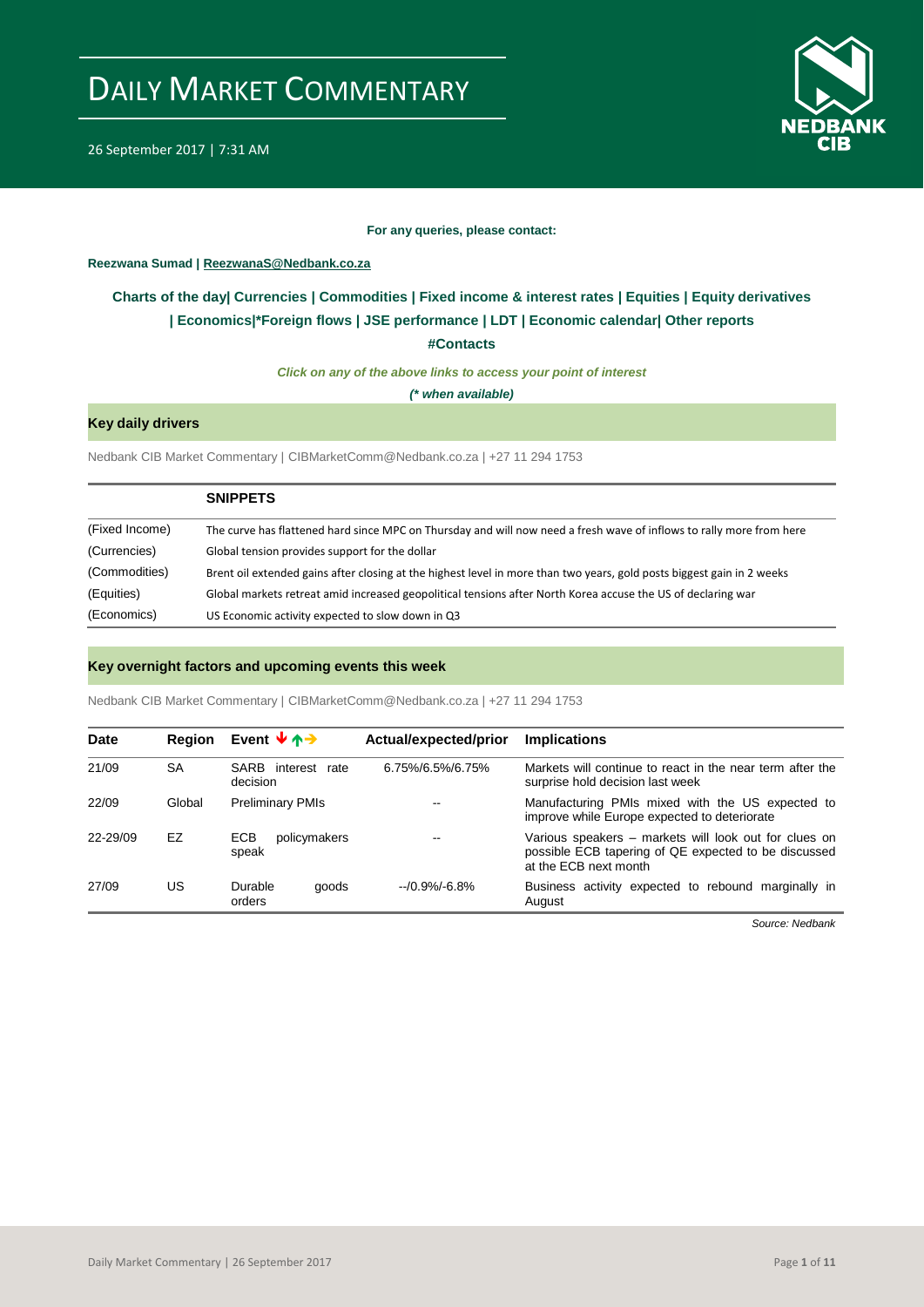

26 September 2017 | 7:31 AM

#### **For any queries, please contact:**

<span id="page-0-0"></span>**Reezwana Sumad | ReezwanaS@Nedbank.co.za**

### **Charts of the day| [Currencies](#page-2-0) [| Commodities](#page-3-0) | [Fixed income & interest rates](#page-1-0) | [Equities](#page-4-0) | Equity derivatives | [Economics|\\*](#page-7-0)Foreign flows [| JSE performance](#page-4-1) | [LDT](#page-5-0) | [Economic calendar|](#page-8-0) Other reports**

**[#Contacts](#page-9-0)**

*Click on any of the above links to access your point of interest*

*(\* when available)*

#### **Key daily drivers**

Nedbank CIB Market Commentary | CIBMarketComm@Nedbank.co.za | +27 11 294 1753

|                | <b>SNIPPETS</b>                                                                                                        |
|----------------|------------------------------------------------------------------------------------------------------------------------|
| (Fixed Income) | The curve has flattened hard since MPC on Thursday and will now need a fresh wave of inflows to rally more from here   |
| (Currencies)   | Global tension provides support for the dollar                                                                         |
| (Commodities)  | Brent oil extended gains after closing at the highest level in more than two years, gold posts biggest gain in 2 weeks |
| (Equities)     | Global markets retreat amid increased geopolitical tensions after North Korea accuse the US of declaring war           |
| (Economics)    | US Economic activity expected to slow down in Q3                                                                       |

#### **Key overnight factors and upcoming events this week**

Nedbank CIB Market Commentary | CIBMarketComm@Nedbank.co.za | +27 11 294 1753

| <b>Date</b> | <b>Region</b> | Event $\forall$ $\land \rightarrow$ | Actual/expected/prior | <b>Implications</b>                                                                                                                    |
|-------------|---------------|-------------------------------------|-----------------------|----------------------------------------------------------------------------------------------------------------------------------------|
| 21/09       | <b>SA</b>     | SARB interest<br>rate<br>decision   | 6.75%/6.5%/6.75%      | Markets will continue to react in the near term after the<br>surprise hold decision last week                                          |
| 22/09       | Global        | <b>Preliminary PMIs</b>             | $- -$                 | Manufacturing PMIs mixed with the US expected to<br>improve while Europe expected to deteriorate                                       |
| 22-29/09    | EZ            | ECB<br>policymakers<br>speak        | $- -$                 | Various speakers – markets will look out for clues on<br>possible ECB tapering of QE expected to be discussed<br>at the ECB next month |
| 27/09       | US            | Durable<br>goods<br>orders          | $-70.9\% - 6.8\%$     | Business activity expected to rebound marginally in<br>August                                                                          |

*Source: Nedbank*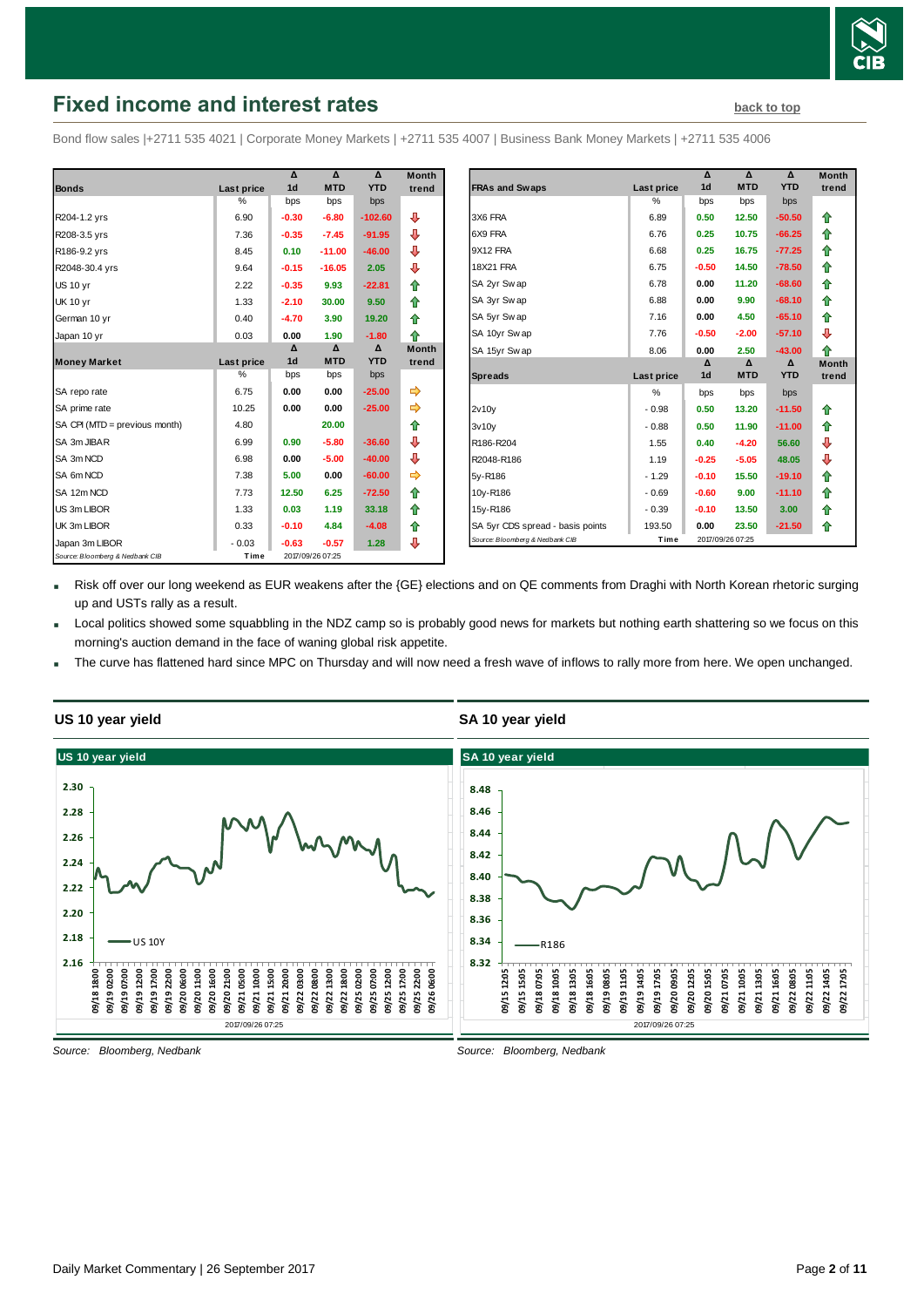

## <span id="page-1-0"></span>**Fixed income and interest rates [back to top](#page-0-0)** back to top

Bond flow sales |+2711 535 4021 | Corporate Money Markets | +2711 535 4007 | Business Bank Money Markets | +2711 535 4006

|                                 |               | Δ              | $\Lambda$        | $\Lambda$  | <b>Month</b> |
|---------------------------------|---------------|----------------|------------------|------------|--------------|
| <b>Bonds</b>                    | Last price    | 1 <sub>d</sub> | <b>MTD</b>       | <b>YTD</b> | trend        |
|                                 | $\frac{0}{0}$ | bps            | bps              | bps        |              |
| R204-1.2 yrs                    | 6.90          | $-0.30$        | $-6.80$          | $-102.60$  | ⊕            |
| R208-3.5 yrs                    | 7.36          | $-0.35$        | $-7.45$          | $-91.95$   | ⊕            |
| R186-9.2 yrs                    | 8.45          | 0.10           | $-11.00$         | $-46.00$   | ⊕            |
| R2048-30.4 yrs                  | 9.64          | $-0.15$        | $-16.05$         | 2.05       | ⊕            |
| <b>US 10 yr</b>                 | 2.22          | $-0.35$        | 9.93             | $-22.81$   | ⇑            |
| <b>UK 10 yr</b>                 | 1.33          | $-2.10$        | 30.00            | 9.50       | ⇑            |
| German 10 yr                    | 0.40          | $-4.70$        | 3.90             | 19.20      | ⇑            |
| Japan 10 yr                     | 0.03          | 0.00           | 1.90             | $-1.80$    | ♠            |
|                                 |               | Δ              | Δ                | Δ          | <b>Month</b> |
| <b>Money Market</b>             | Last price    | 1 <sub>d</sub> | <b>MTD</b>       | <b>YTD</b> | trend        |
|                                 | %             | bps            | bps              | bps        |              |
| SA repo rate                    | 6.75          | 0.00           | 0.00             | $-25.00$   | ⇛            |
| SA prime rate                   | 10.25         | 0.00           | 0.00             | $-25.00$   |              |
| SA CPI (MTD = previous month)   | 4.80          |                | 20.00            |            | ✿            |
| SA 3m JIBAR                     | 6.99          | 0.90           | $-5.80$          | $-36.60$   | ⊕            |
| SA 3m NCD                       | 6.98          | 0.00           | $-5.00$          | $-40.00$   | ⊕            |
| SA 6m NCD                       | 7.38          | 5.00           | 0.00             | $-60.00$   |              |
| SA 12m NCD                      | 7.73          | 12.50          | 6.25             | $-72.50$   | ⇑            |
| US 3m LIBOR                     | 1.33          | 0.03           | 1.19             | 33.18      | ⇑            |
| UK 3m LIBOR                     | 0.33          | $-0.10$        | 4.84             | $-4.08$    | ⇑            |
| Japan 3m LIBOR                  | $-0.03$       | $-0.63$        | $-0.57$          | 1.28       | ⊕            |
| Source: Bloomberg & Nedbank CIB | Time          |                | 2017/09/26 07:25 |            |              |

| Month |                                  |            | Δ                | Δ          | Δ          | <b>Month</b> |
|-------|----------------------------------|------------|------------------|------------|------------|--------------|
| trend | <b>FRAs and Swaps</b>            | Last price | 1 <sub>d</sub>   | <b>MTD</b> | <b>YTD</b> | trend        |
|       |                                  | $\%$       | bps              | bps        | bps        |              |
| ⊕     | 3X6 FRA                          | 6.89       | 0.50             | 12.50      | $-50.50$   | ⇑            |
| ⊕     | 6X9 FRA                          | 6.76       | 0.25             | 10.75      | $-66.25$   | ⇑            |
| ⊕     | 9X12 FRA                         | 6.68       | 0.25             | 16.75      | $-77.25$   | 合            |
| ⊕     | <b>18X21 FRA</b>                 | 6.75       | $-0.50$          | 14.50      | $-78.50$   | ⇑            |
| 合     | SA 2yr Swap                      | 6.78       | 0.00             | 11.20      | $-68.60$   | 合            |
| 合     | SA 3yr Swap                      | 6.88       | 0.00             | 9.90       | $-68.10$   | ⇑            |
| 合     | SA 5yr Swap                      | 7.16       | 0.00             | 4.50       | $-65.10$   | ⇑            |
| ⇮     | SA 10yr Sw ap                    | 7.76       | $-0.50$          | $-2.00$    | $-57.10$   | ⊕            |
| Month | SA 15yr Sw ap                    | 8.06       | 0.00             | 2.50       | $-43.00$   | ♠            |
| trend |                                  |            | Δ                | Δ          | Δ          | <b>Month</b> |
|       | <b>Spreads</b>                   | Last price | 1 <sub>d</sub>   | <b>MTD</b> | <b>YTD</b> | trend        |
| ⇛     |                                  | %          | bps              | bps        | bps        |              |
| ⇛     | 2v10v                            | $-0.98$    | 0.50             | 13.20      | $-11.50$   | ⇑            |
| ✿     | 3v10v                            | $-0.88$    | 0.50             | 11.90      | $-11.00$   | ⇑            |
| ⊕     | R186-R204                        | 1.55       | 0.40             | $-4.20$    | 56.60      | ⊕            |
| ⊕     | R2048-R186                       | 1.19       | $-0.25$          | $-5.05$    | 48.05      | ⊕            |
|       | 5y-R186                          | $-1.29$    | $-0.10$          | 15.50      | $-19.10$   | ⇑            |
| 合     | 10y-R186                         | $-0.69$    | $-0.60$          | 9.00       | $-11.10$   | 合            |
| 合     | 15y-R186                         | $-0.39$    | $-0.10$          | 13.50      | 3.00       | 合            |
| ⇑     | SA 5yr CDS spread - basis points | 193.50     | 0.00             | 23.50      | $-21.50$   | ⇑            |
|       | Source: Bloomberg & Nedbank CIB  | Time       | 2017/09/26 07:25 |            |            |              |

Risk off over our long weekend as EUR weakens after the {GE} elections and on QE comments from Draghi with North Korean rhetoric surging up and USTs rally as a result.

- Local politics showed some squabbling in the NDZ camp so is probably good news for markets but nothing earth shattering so we focus on this morning's auction demand in the face of waning global risk appetite.
- The curve has flattened hard since MPC on Thursday and will now need a fresh wave of inflows to rally more from here. We open unchanged.



#### **US 10 year yield**

*Source: Bloomberg, Nedbank*

### **SA 10 year yield**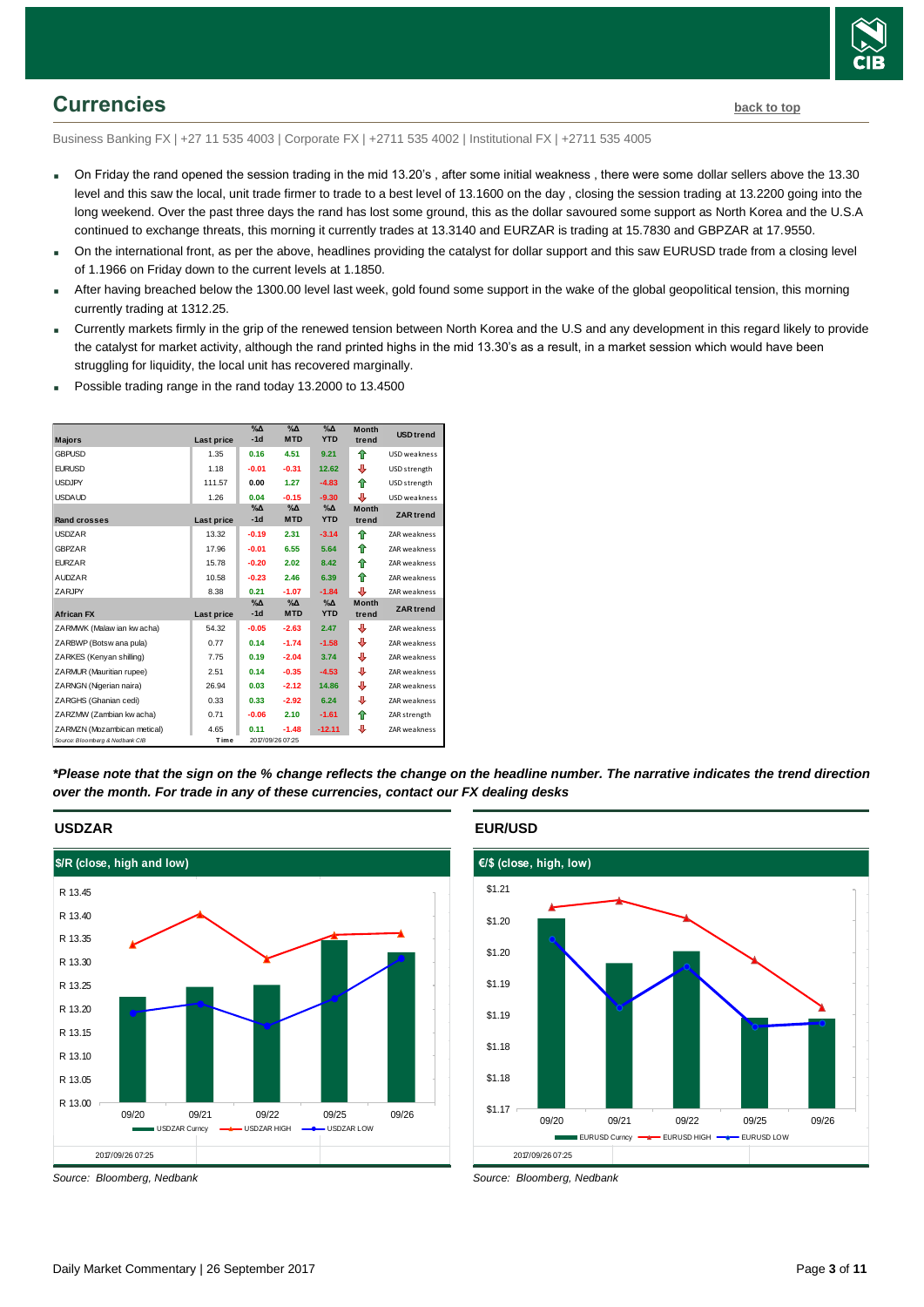

## <span id="page-2-0"></span>**Currencies [back to top](#page-0-0)**

Business Banking FX | +27 11 535 4003 | Corporate FX | +2711 535 4002 | Institutional FX | +2711 535 4005

- On Friday the rand opened the session trading in the mid 13.20's , after some initial weakness , there were some dollar sellers above the 13.30 level and this saw the local, unit trade firmer to trade to a best level of 13.1600 on the day , closing the session trading at 13.2200 going into the long weekend. Over the past three days the rand has lost some ground, this as the dollar savoured some support as North Korea and the U.S.A continued to exchange threats, this morning it currently trades at 13.3140 and EURZAR is trading at 15.7830 and GBPZAR at 17.9550.
- On the international front, as per the above, headlines providing the catalyst for dollar support and this saw EURUSD trade from a closing level of 1.1966 on Friday down to the current levels at 1.1850.
- After having breached below the 1300.00 level last week, gold found some support in the wake of the global geopolitical tension, this morning currently trading at 1312.25.
- Currently markets firmly in the grip of the renewed tension between North Korea and the U.S and any development in this regard likely to provide the catalyst for market activity, although the rand printed highs in the mid 13.30's as a result, in a market session which would have been struggling for liquidity, the local unit has recovered marginally.
- Possible trading range in the rand today 13.2000 to 13.4500

|                                 |            | $\% \Delta$            | $\%$ $\Delta$               | $\Delta_0$             | <b>Month</b>          |                     |
|---------------------------------|------------|------------------------|-----------------------------|------------------------|-----------------------|---------------------|
| <b>Majors</b>                   | Last price | $-1d$                  | <b>MTD</b>                  | <b>YTD</b>             | trend                 | <b>USD trend</b>    |
| <b>GBPLISD</b>                  | 1.35       | 0.16                   | 4.51                        | 9.21                   | ♠                     | <b>USD</b> weakness |
| <b>EURUSD</b>                   | 1.18       | $-0.01$                | $-0.31$                     | 12.62                  | ⊕                     | USD strength        |
| <b>USDJPY</b>                   | 111.57     | 0.00                   | 1.27                        | $-4.83$                | ♠                     | USD strength        |
| <b>USDAUD</b>                   | 1.26       | 0.04                   | $-0.15$                     | $-9.30$                | ⊕                     | USD weakness        |
| <b>Rand crosses</b>             | Last price | $\%$ $\Delta$<br>$-1d$ | $\%$ $\Delta$<br><b>MTD</b> | $\Delta$<br><b>YTD</b> | <b>Month</b><br>trend | <b>ZAR</b> trend    |
| <b>USDZAR</b>                   | 13.32      | $-0.19$                | 2.31                        | $-3.14$                | ⇑                     | <b>ZAR</b> weakness |
| <b>GBPZAR</b>                   | 17.96      | $-0.01$                | 6.55                        | 5.64                   | ⇑                     | <b>ZAR</b> weakness |
| <b>FURZAR</b>                   | 15.78      | $-0.20$                | 2.02                        | 8.42                   | ♠                     | <b>ZAR</b> weakness |
| <b>AUDZAR</b>                   | 10.58      | $-0.23$                | 2.46                        | 6.39                   | ♠                     | <b>ZAR</b> weakness |
| ZARJPY                          | 8.38       | 0.21                   | $-1.07$                     | $-1.84$                | Ф                     | ZAR weakness        |
| <b>African FX</b>               | Last price | $\%$ $\Delta$<br>$-1d$ | $\%$ $\Delta$<br><b>MTD</b> | $\Delta$<br><b>YTD</b> | <b>Month</b><br>trend | <b>ZAR</b> trend    |
| ZARMWK (Malaw ian kw acha)      | 54.32      | $-0.05$                | $-2.63$                     | 2.47                   | ⊕                     | <b>ZAR</b> weakness |
| ZARBWP (Botsw ana pula)         | 0.77       | 0.14                   | $-1.74$                     | $-1.58$                | ⊕                     | <b>ZAR</b> weakness |
| ZARKES (Kenyan shilling)        | 7.75       | 0.19                   | $-2.04$                     | 3.74                   | ⊕                     | <b>ZAR</b> weakness |
| ZARMUR (Mauritian rupee)        | 2.51       | 0.14                   | $-0.35$                     | $-4.53$                | ⊕                     | <b>ZAR</b> weakness |
| ZARNGN (Nigerian naira)         | 26.94      | 0.03                   | $-2.12$                     | 14.86                  | ⊕                     | ZAR weakness        |
| ZARGHS (Ghanian cedi)           | 0.33       | 0.33                   | $-2.92$                     | 6.24                   | ⊕                     | <b>ZAR</b> weakness |
| ZARZMW (Zambian kw acha)        | 0.71       | $-0.06$                | 2.10                        | $-1.61$                | ♠                     | ZAR strength        |
| ZARMZN (Mozambican metical)     | 4.65       | 0.11                   | $-1.48$                     | $-12.11$               | J                     | <b>ZAR</b> weakness |
| Source: Bloomberg & Nedbank CIB | Time       |                        | 2017/09/26 07:25            |                        |                       |                     |

*\*Please note that the sign on the % change reflects the change on the headline number. The narrative indicates the trend direction over the month. For trade in any of these currencies, contact our FX dealing desks*

## **USDZAR** 2017/09/26 07:25 **\$/R (close, high and low)** R 13.00 R 13.05 R 13.10 R 13.15 R 13.20 R 13.25 R 13.30 R 13.35 R 13.40 R 13.45 09/20 09/21 09/22 09/25 09/26 USDZAR Curncy **- 4-** USDZAR HIGH - 4- USDZAR LOW

*Source: Bloomberg, Nedbank*

#### **EUR/USD**



*Source: Bloomberg, Nedbank*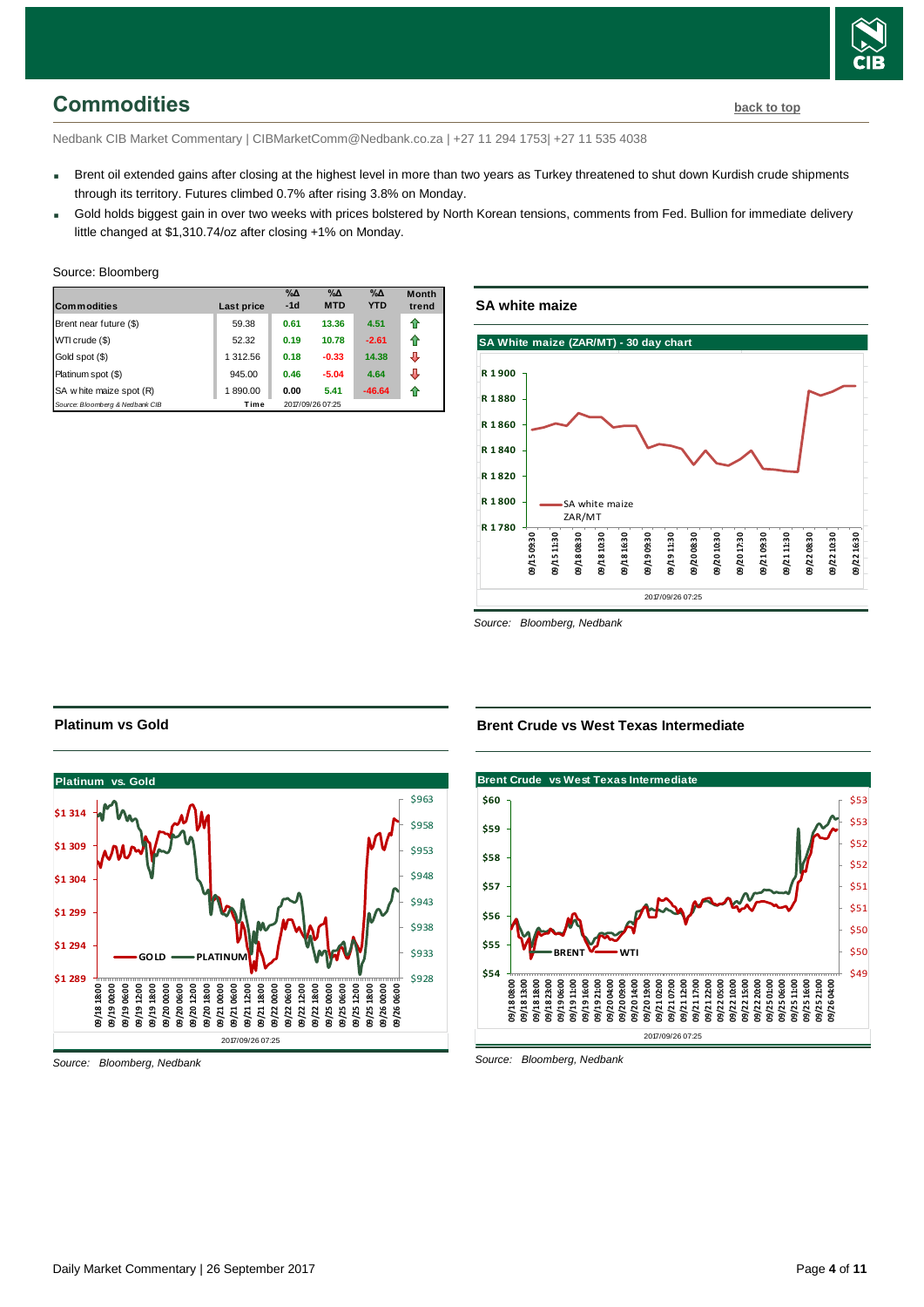## <span id="page-3-0"></span>**Commodities [back to top](#page-0-0)**

Nedbank CIB Market Commentary | CIBMarketComm@Nedbank.co.za | +27 11 294 1753| +27 11 535 4038

- Brent oil extended gains after closing at the highest level in more than two years as Turkey threatened to shut down Kurdish crude shipments through its territory. Futures climbed 0.7% after rising 3.8% on Monday.
- Gold holds biggest gain in over two weeks with prices bolstered by North Korean tensions, comments from Fed. Bullion for immediate delivery little changed at \$1,310.74/oz after closing +1% on Monday.

| <b>Commodities</b>              | Last price | $\%$ $\Delta$<br>$-1d$ | $\%$ $\Delta$<br><b>MTD</b> | $\%$ $\Delta$<br><b>YTD</b> | <b>Month</b><br>trend |
|---------------------------------|------------|------------------------|-----------------------------|-----------------------------|-----------------------|
| Brent near future (\$)          | 59.38      | 0.61                   | 13.36                       | 4.51                        | ⇑                     |
| WTI crude (\$)                  | 52.32      | 0.19                   | 10.78                       | $-2.61$                     | ⇑                     |
| Gold spot (\$)                  | 1 312.56   | 0.18                   | $-0.33$                     | 14.38                       | ⊕                     |
| Platinum spot (\$)              | 945.00     | 0.46                   | $-5.04$                     | 4.64                        | ⊕                     |
| SA w hite maize spot (R)        | 1890.00    | 0.00                   | 5.41                        | $-46.64$                    | 11                    |
| Source: Bloomberg & Nedbank CIB | Time       |                        | 2017/09/26 07:25            |                             |                       |

## **SA white maize**



*Source: Bloomberg, Nedbank*



### **Brent Crude vs West Texas Intermediate**



*Source: Bloomberg, Nedbank*

**Platinum vs Gold**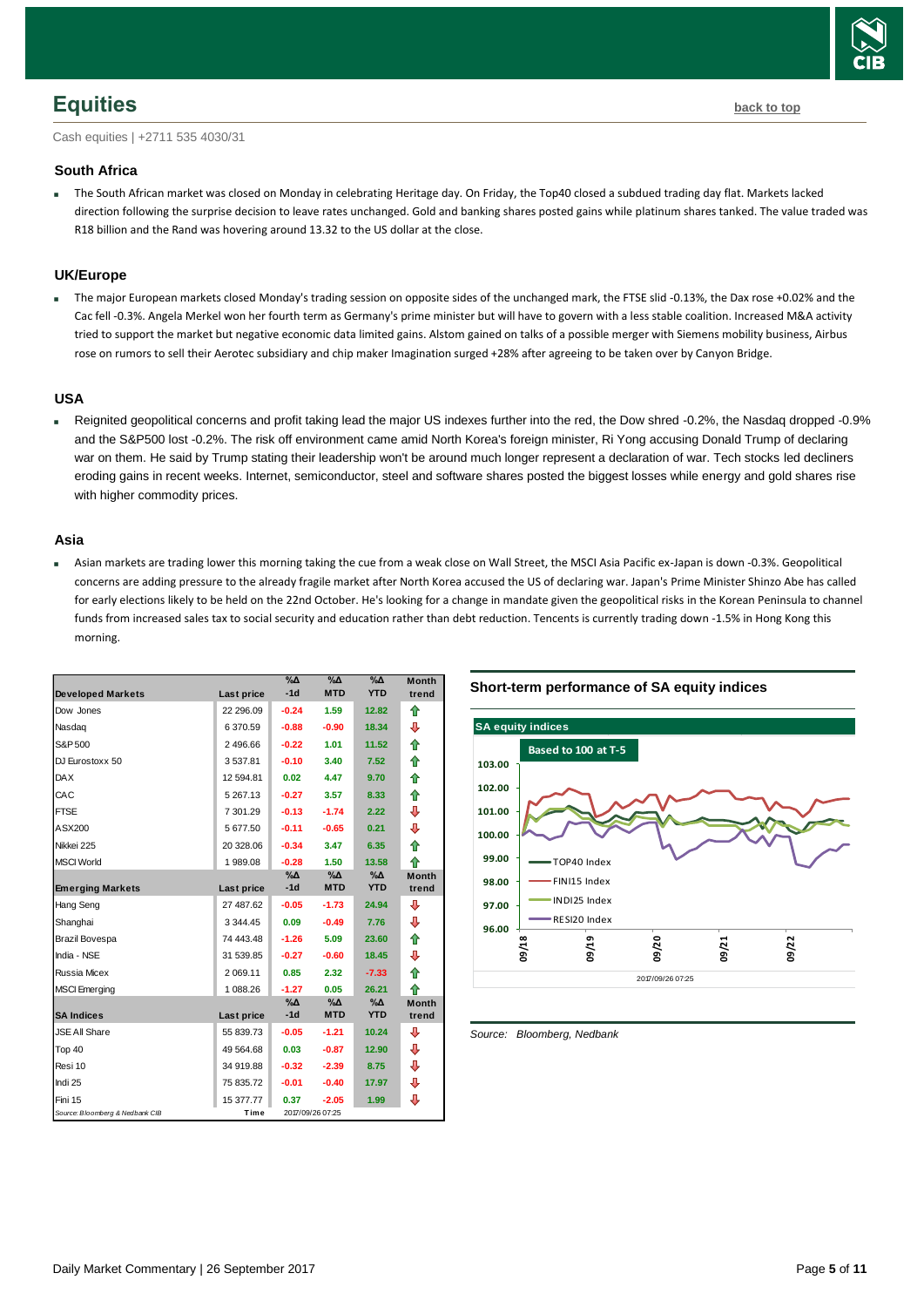

## <span id="page-4-0"></span>**Equities [back to top](#page-0-0)**

Cash equities | +2711 535 4030/31

#### **South Africa**

 The South African market was closed on Monday in celebrating Heritage day. On Friday, the Top40 closed a subdued trading day flat. Markets lacked direction following the surprise decision to leave rates unchanged. Gold and banking shares posted gains while platinum shares tanked. The value traded was R18 billion and the Rand was hovering around 13.32 to the US dollar at the close.

#### **UK/Europe**

 The major European markets closed Monday's trading session on opposite sides of the unchanged mark, the FTSE slid -0.13%, the Dax rose +0.02% and the Cac fell -0.3%. Angela Merkel won her fourth term as Germany's prime minister but will have to govern with a less stable coalition. Increased M&A activity tried to support the market but negative economic data limited gains. Alstom gained on talks of a possible merger with Siemens mobility business, Airbus rose on rumors to sell their Aerotec subsidiary and chip maker Imagination surged +28% after agreeing to be taken over by Canyon Bridge.

#### **USA**

 Reignited geopolitical concerns and profit taking lead the major US indexes further into the red, the Dow shred -0.2%, the Nasdaq dropped -0.9% and the S&P500 lost -0.2%. The risk off environment came amid North Korea's foreign minister, Ri Yong accusing Donald Trump of declaring war on them. He said by Trump stating their leadership won't be around much longer represent a declaration of war. Tech stocks led decliners eroding gains in recent weeks. Internet, semiconductor, steel and software shares posted the biggest losses while energy and gold shares rise with higher commodity prices.

#### **Asia**

 Asian markets are trading lower this morning taking the cue from a weak close on Wall Street, the MSCI Asia Pacific ex-Japan is down -0.3%. Geopolitical concerns are adding pressure to the already fragile market after North Korea accused the US of declaring war. Japan's Prime Minister Shinzo Abe has called for early elections likely to be held on the 22nd October. He's looking for a change in mandate given the geopolitical risks in the Korean Peninsula to channel funds from increased sales tax to social security and education rather than debt reduction. Tencents is currently trading down -1.5% in Hong Kong this morning.

|                                 |            | $\%$ $\Delta$ | $\sqrt{6\Delta}$ | $\%$ $\Delta$ | <b>Month</b> |
|---------------------------------|------------|---------------|------------------|---------------|--------------|
| <b>Developed Markets</b>        | Last price | $-1d$         | <b>MTD</b>       | <b>YTD</b>    | trend        |
| Dow Jones                       | 22 296.09  | $-0.24$       | 1.59             | 12.82         | ⇑            |
| Nasdag                          | 6 370.59   | $-0.88$       | $-0.90$          | 18.34         | ⊕            |
| S&P 500                         | 2 496.66   | $-0.22$       | 1.01             | 11.52         | ⇑            |
| DJ Eurostoxx 50                 | 3537.81    | $-0.10$       | 3.40             | 7.52          | ⇑            |
| <b>DAX</b>                      | 12 594.81  | 0.02          | 4.47             | 9.70          | 合            |
| CAC                             | 5 267.13   | $-0.27$       | 3.57             | 8.33          | 企            |
| <b>FTSE</b>                     | 7 301.29   | $-0.13$       | $-1.74$          | 2.22          | ⊕            |
| ASX200                          | 5 677.50   | $-0.11$       | $-0.65$          | 0.21          | ⊕            |
| Nikkei 225                      | 20 328.06  | $-0.34$       | 3.47             | 6.35          | 合            |
| <b>MSCI World</b>               | 1989.08    | $-0.28$       | 1.50             | 13.58         | ♠            |
|                                 |            | %Δ            | %Δ               | $\%$ $\Delta$ | <b>Month</b> |
| <b>Emerging Markets</b>         | Last price | $-1d$         | <b>MTD</b>       | <b>YTD</b>    | trend        |
| Hang Seng                       | 27 487.62  | $-0.05$       | $-1.73$          | 24.94         | ⊕            |
| Shanghai                        | 3 344.45   | 0.09          | $-0.49$          | 7.76          | ⊕            |
| Brazil Bovespa                  | 74 443.48  | $-1.26$       | 5.09             | 23.60         | 合            |
| India - NSE                     | 31 539.85  | $-0.27$       | $-0.60$          | 18.45         | ⇩            |
| Russia Micex                    | 2 069.11   | 0.85          | 2.32             | $-7.33$       | ⇑            |
| <b>MSCI Emerging</b>            | 1 088.26   | $-1.27$       | 0.05             | 26.21         | ♠            |
|                                 |            | %∆            | %Δ               | %∆            | <b>Month</b> |
| <b>SA Indices</b>               | Last price | $-1d$         | <b>MTD</b>       | <b>YTD</b>    | trend        |
| <b>JSE All Share</b>            | 55 839.73  | $-0.05$       | $-1.21$          | 10.24         | ⊕            |
| Top 40                          | 49 564.68  | 0.03          | $-0.87$          | 12.90         | ⊕            |
| Resi 10                         | 34 919.88  | $-0.32$       | $-2.39$          | 8.75          | ⊕            |
| Indi 25                         | 75 835.72  | $-0.01$       | $-0.40$          | 17.97         | ⇩            |
| Fini 15                         | 15 377.77  | 0.37          | $-2.05$          | 1.99          | ⊕            |
| Source: Bloomberg & Nedbank CIB | Time       |               | 2017/09/26 07:25 |               |              |

#### **Short-term performance of SA equity indices**



<span id="page-4-1"></span>*Source: Bloomberg, Nedbank*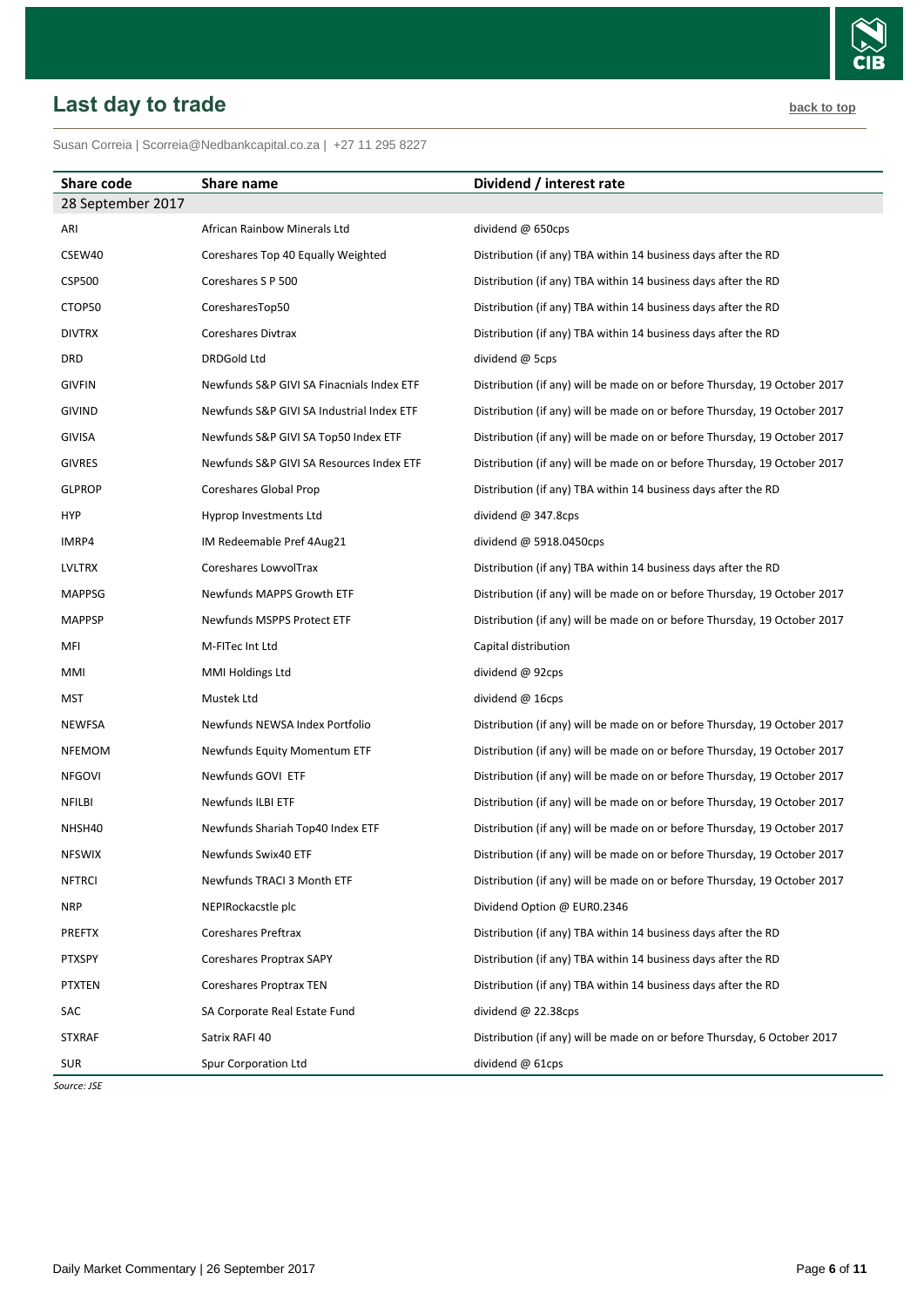# <span id="page-5-0"></span>**Last day to trade back to the contract of the contract of the contract of the contract of the contract of the contract of the contract of the contract of the contract of the contract of the contract of the contract of t**

| Share code        | Share name                                | Dividend / interest rate                                                  |
|-------------------|-------------------------------------------|---------------------------------------------------------------------------|
| 28 September 2017 |                                           |                                                                           |
| ARI               | African Rainbow Minerals Ltd              | dividend @ 650cps                                                         |
| CSEW40            | Coreshares Top 40 Equally Weighted        | Distribution (if any) TBA within 14 business days after the RD            |
| <b>CSP500</b>     | Coreshares S P 500                        | Distribution (if any) TBA within 14 business days after the RD            |
| CTOP50            | CoresharesTop50                           | Distribution (if any) TBA within 14 business days after the RD            |
| <b>DIVTRX</b>     | Coreshares Divtrax                        | Distribution (if any) TBA within 14 business days after the RD            |
| DRD               | DRDGold Ltd                               | dividend @ 5cps                                                           |
| <b>GIVFIN</b>     | Newfunds S&P GIVI SA Finacnials Index ETF | Distribution (if any) will be made on or before Thursday, 19 October 2017 |
| <b>GIVIND</b>     | Newfunds S&P GIVI SA Industrial Index ETF | Distribution (if any) will be made on or before Thursday, 19 October 2017 |
| <b>GIVISA</b>     | Newfunds S&P GIVI SA Top50 Index ETF      | Distribution (if any) will be made on or before Thursday, 19 October 2017 |
| <b>GIVRES</b>     | Newfunds S&P GIVI SA Resources Index ETF  | Distribution (if any) will be made on or before Thursday, 19 October 2017 |
| <b>GLPROP</b>     | Coreshares Global Prop                    | Distribution (if any) TBA within 14 business days after the RD            |
| <b>HYP</b>        | Hyprop Investments Ltd                    | dividend $@347.8cps$                                                      |
| IMRP4             | IM Redeemable Pref 4Aug21                 | dividend $@$ 5918.0450cps                                                 |
| LVLTRX            | Coreshares LowvolTrax                     | Distribution (if any) TBA within 14 business days after the RD            |
| <b>MAPPSG</b>     | Newfunds MAPPS Growth ETF                 | Distribution (if any) will be made on or before Thursday, 19 October 2017 |
| <b>MAPPSP</b>     | Newfunds MSPPS Protect ETF                | Distribution (if any) will be made on or before Thursday, 19 October 2017 |
| MFI               | M-FITec Int Ltd                           | Capital distribution                                                      |
| MMI               | MMI Holdings Ltd                          | dividend @ 92cps                                                          |
| MST               | Mustek Ltd                                | dividend $@$ 16cps                                                        |
| <b>NEWFSA</b>     | Newfunds NEWSA Index Portfolio            | Distribution (if any) will be made on or before Thursday, 19 October 2017 |
| <b>NFEMOM</b>     | Newfunds Equity Momentum ETF              | Distribution (if any) will be made on or before Thursday, 19 October 2017 |
| <b>NFGOVI</b>     | Newfunds GOVI ETF                         | Distribution (if any) will be made on or before Thursday, 19 October 2017 |
| NFILBI            | <b>Newfunds ILBI ETF</b>                  | Distribution (if any) will be made on or before Thursday, 19 October 2017 |
| NHSH40            | Newfunds Shariah Top40 Index ETF          | Distribution (if any) will be made on or before Thursday, 19 October 2017 |
| <b>NFSWIX</b>     | Newfunds Swix40 ETF                       | Distribution (if any) will be made on or before Thursday, 19 October 2017 |
| <b>NFTRCI</b>     | Newfunds TRACI 3 Month ETF                | Distribution (if any) will be made on or before Thursday, 19 October 2017 |
| <b>NRP</b>        | NEPIRockacstle plc                        | Dividend Option @ EUR0.2346                                               |
| <b>PREFTX</b>     | Coreshares Preftrax                       | Distribution (if any) TBA within 14 business days after the RD            |
| <b>PTXSPY</b>     | Coreshares Proptrax SAPY                  | Distribution (if any) TBA within 14 business days after the RD            |
| <b>PTXTEN</b>     | <b>Coreshares Proptrax TEN</b>            | Distribution (if any) TBA within 14 business days after the RD            |
| SAC               | SA Corporate Real Estate Fund             | dividend $@$ 22.38cps                                                     |
| <b>STXRAF</b>     | Satrix RAFI 40                            | Distribution (if any) will be made on or before Thursday, 6 October 2017  |
| <b>SUR</b>        | Spur Corporation Ltd                      | dividend $@$ 61cps                                                        |

*Source: JSE*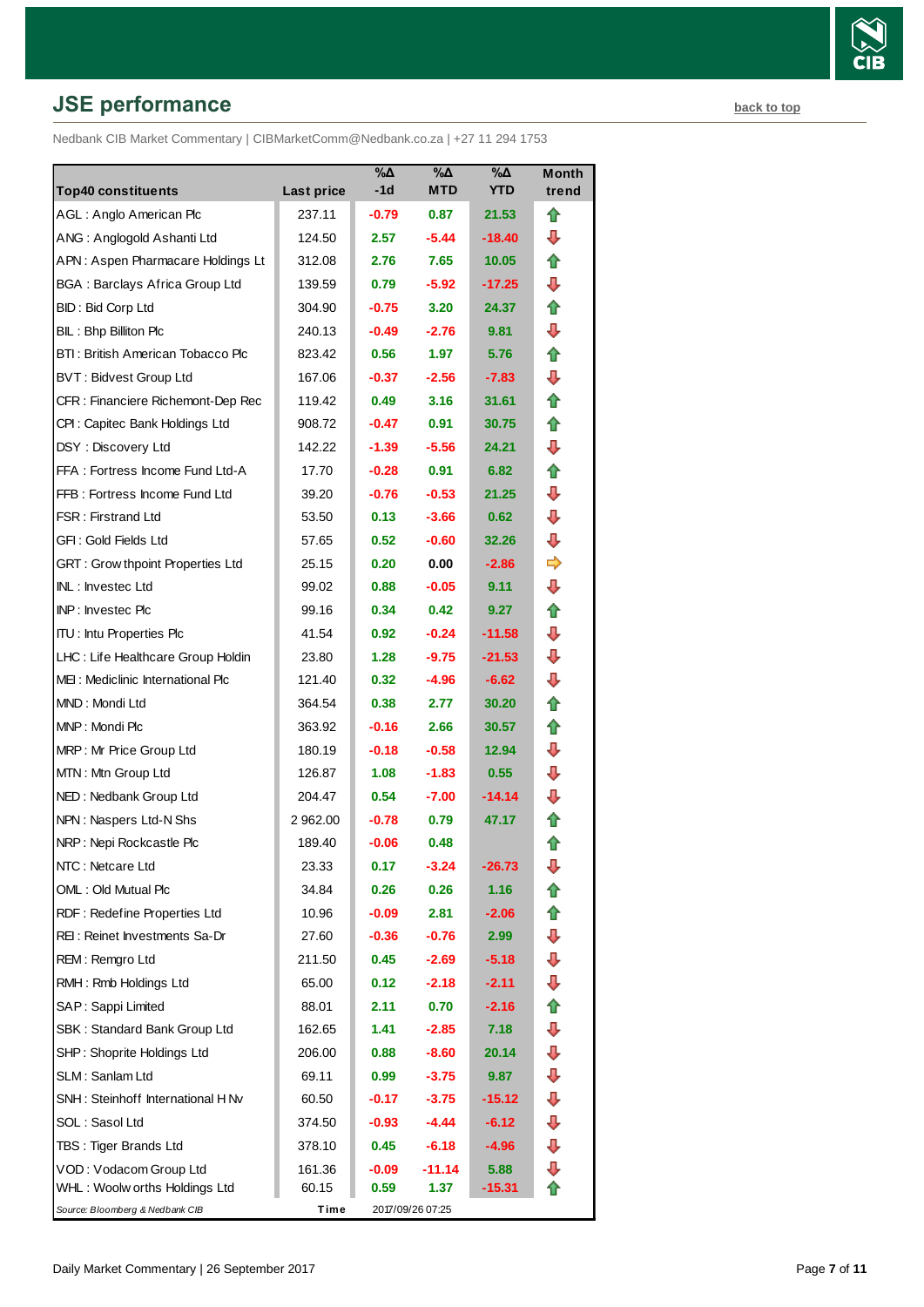# **JSE performance [back to top](#page-0-0) back to top**

Nedbank CIB Market Commentary | CIBMarketComm@Nedbank.co.za | +27 11 294 1753

| <b>Top40 constituents</b>               | Last price | %Δ<br>-1d         | $\%$ $\Delta$<br><b>MTD</b> | %Δ<br><b>YTD</b>  | Month<br>trend |
|-----------------------------------------|------------|-------------------|-----------------------------|-------------------|----------------|
| AGL: Anglo American Plc                 | 237.11     | $-0.79$           | 0.87                        | 21.53             | ⇑              |
| ANG: Anglogold Ashanti Ltd              | 124.50     | 2.57              | $-5.44$                     | $-18.40$          | ⊕              |
| APN: Aspen Pharmacare Holdings Lt       | 312.08     | 2.76              | 7.65                        | 10.05             | ⇑              |
| <b>BGA: Barclays Africa Group Ltd</b>   | 139.59     | 0.79              | $-5.92$                     | -17.25            | ┺              |
| BID: Bid Corp Ltd                       | 304.90     | $-0.75$           | 3.20                        | 24.37             | ⇑              |
| BIL: Bhp Billiton Plc                   | 240.13     | $-0.49$           | $-2.76$                     | 9.81              | ⊕              |
| BTI: British American Tobacco Plc       | 823.42     | 0.56              | 1.97                        | 5.76              | ⇑              |
| <b>BVT: Bidvest Group Ltd</b>           | 167.06     | $-0.37$           | $-2.56$                     | $-7.83$           | ⊕              |
| CFR : Financiere Richemont-Dep Rec      | 119.42     | 0.49              | 3.16                        | 31.61             | ⇑              |
| CPI : Capitec Bank Holdings Ltd         | 908.72     | $-0.47$           | 0.91                        | 30.75             | ⇑              |
| DSY: Discovery Ltd                      | 142.22     | $-1.39$           | $-5.56$                     | 24.21             | ⊕              |
| FFA: Fortress Income Fund Ltd-A         | 17.70      | $-0.28$           | 0.91                        | 6.82              | ⇑              |
| FFB: Fortress Income Fund Ltd           | 39.20      | $-0.76$           | $-0.53$                     | 21.25             | ⊕              |
| <b>FSR: Firstrand Ltd</b>               | 53.50      | 0.13              | $-3.66$                     | 0.62              | ⊕              |
| GFI: Gold Fields Ltd                    | 57.65      | 0.52 <sub>1</sub> | $-0.60$                     | 32.26             | ⊕              |
| <b>GRT: Grow thpoint Properties Ltd</b> | 25.15      | 0.20              | 0.00                        | $-2.86$           | ⇨              |
| INL: Investec Ltd                       | 99.02      | 0.88              | $-0.05$                     | 9.11              | ⊕              |
| INP: Investec Plc                       | 99.16      | 0.34              | 0.42                        | 9.27              | ⇑              |
| <b>ITU:</b> Intu Properties Plc         | 41.54      | 0.92 <sub>1</sub> | $-0.24$                     | $-11.58$          | ⊕              |
| LHC: Life Healthcare Group Holdin       | 23.80      | 1.28              | $-9.75$                     | -21.53            | ⊕              |
| MEI: Mediclinic International Plc       | 121.40     | 0.32              | $-4.96$                     | $-6.62$           | ⊕              |
| MND: Mondi Ltd                          | 364.54     | 0.38              | 2.77                        | 30.20             | ⇑              |
| MNP: Mondi Plc                          | 363.92     | $-0.16$           | 2.66                        | 30.57             | ⇑              |
| MRP: Mr Price Group Ltd                 | 180.19     | $-0.18$           | $-0.58$                     | 12.94             | ┺              |
| MTN: Mtn Group Ltd                      | 126.87     | 1.08              | $-1.83$                     | 0.55              | ⊕              |
| NED: Nedbank Group Ltd                  | 204.47     | 0.54              | $-7.00$                     | $-14.14$          | ⊕              |
| NPN: Naspers Ltd-N Shs                  | 2 962.00   | $-0.78$           | 0.79                        | 47.17             | T              |
| NRP: Nepi Rockcastle Plc                | 189.40     | $-0.06$           | 0.48                        |                   | ⇑              |
| NTC: Netcare Ltd                        | 23.33      | 0.17              | $-3.24$                     | -26.73            | ⊕              |
| OML: Old Mutual Plc                     | 34.84      | 0.26              | 0.26                        | 1.16              | T              |
| RDF: Redefine Properties Ltd            | 10.96      | $-0.09$           | 2.81                        | -2.06             | ⇑              |
| REI: Reinet Investments Sa-Dr           | 27.60      | $-0.36$           | $-0.76$                     | 2.99 <sub>1</sub> | ⇩              |
| REM: Remgro Ltd                         | 211.50     | 0.45              | $-2.69$                     | -5.18             | ⊕              |
| RMH: Rmb Holdings Ltd                   | 65.00      | 0.12              | $-2.18$                     | -2.11             | ⇩              |
| SAP: Sappi Limited                      | 88.01      | 2.11              | 0.70                        | -2.16             | ⇑              |
| SBK: Standard Bank Group Ltd            | 162.65     | 1.41              | $-2.85$                     | 7.18              | ⇩              |
| SHP: Shoprite Holdings Ltd              | 206.00     | 0.88              | -8.60                       | 20.14             | ⊕              |
| SLM: Sanlam Ltd                         | 69.11      | 0.99              | $-3.75$                     | 9.87              | ⇩              |
| SNH: Steinhoff International H Nv       | 60.50      | $-0.17$           | $-3.75$                     | -15.12            | ⇩              |
| SOL: Sasol Ltd                          | 374.50     | $-0.93$           | -4.44                       | $-6.12$           | ⇩              |
| TBS: Tiger Brands Ltd                   | 378.10     | 0.45              | $-6.18$                     | -4.96             | ⇩              |
| VOD: Vodacom Group Ltd                  | 161.36     | $-0.09$           | $-11.14$                    | 5.88              | ⇩              |
| WHL: Woolw orths Holdings Ltd           | 60.15      | 0.59              | 1.37                        | $-15.31$          |                |
| Source: Bloomberg & Nedbank CIB         | Time       |                   | 2017/09/26 07:25            |                   |                |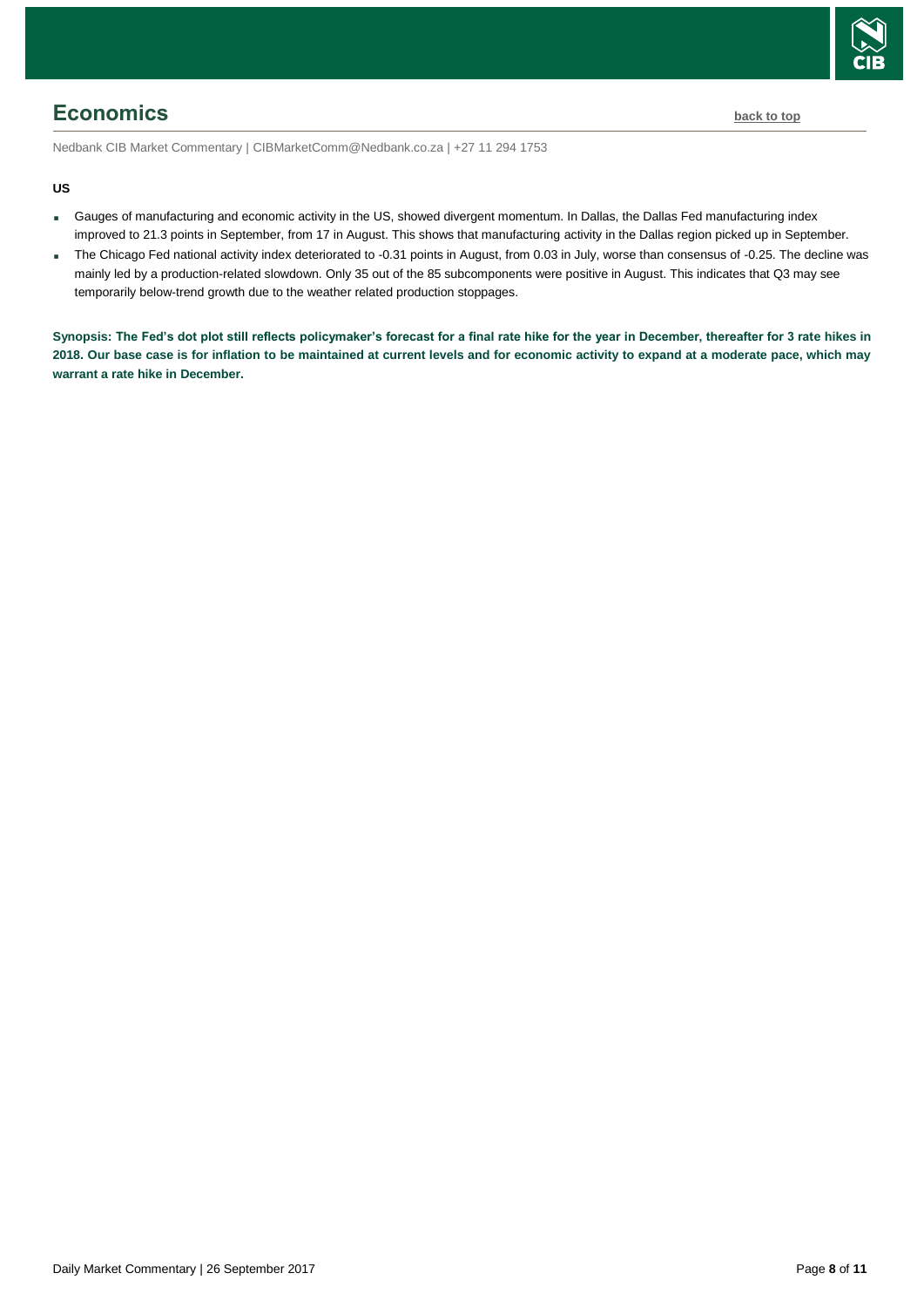

## <span id="page-7-0"></span>**Economics [back to top](#page-0-0)**

Nedbank CIB Market Commentary | CIBMarketComm@Nedbank.co.za | +27 11 294 1753

#### **US**

- Gauges of manufacturing and economic activity in the US, showed divergent momentum. In Dallas, the Dallas Fed manufacturing index improved to 21.3 points in September, from 17 in August. This shows that manufacturing activity in the Dallas region picked up in September.
- The Chicago Fed national activity index deteriorated to -0.31 points in August, from 0.03 in July, worse than consensus of -0.25. The decline was mainly led by a production-related slowdown. Only 35 out of the 85 subcomponents were positive in August. This indicates that Q3 may see temporarily below-trend growth due to the weather related production stoppages.

**Synopsis: The Fed's dot plot still reflects policymaker's forecast for a final rate hike for the year in December, thereafter for 3 rate hikes in 2018. Our base case is for inflation to be maintained at current levels and for economic activity to expand at a moderate pace, which may warrant a rate hike in December.**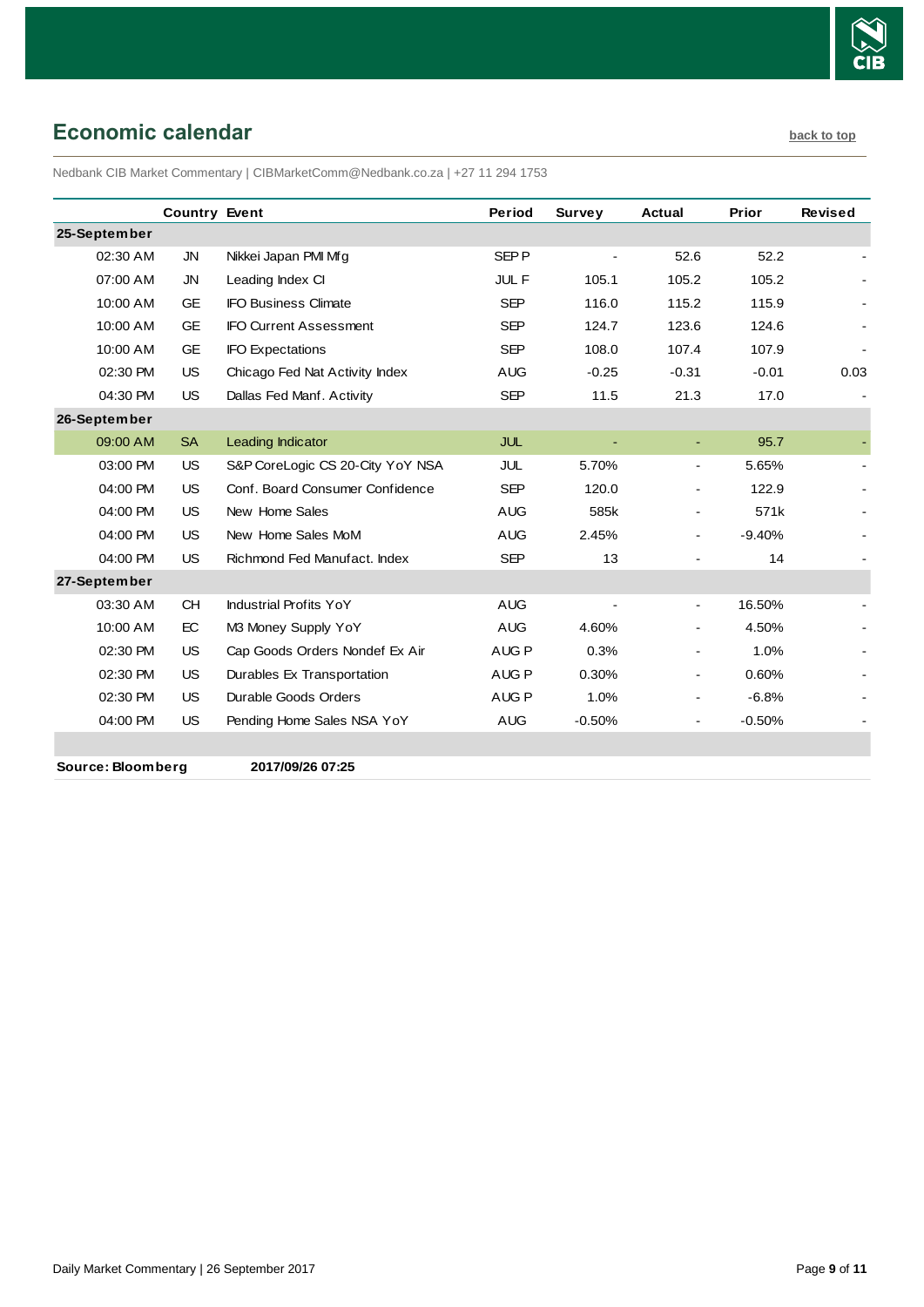

## <span id="page-8-0"></span>**Economic calendar [back to top](#page-0-0) back to top**

Nedbank CIB Market Commentary | CIBMarketComm@Nedbank.co.za | +27 11 294 1753

|                   | <b>Country Event</b> |                                  | Period           | <b>Survey</b> | <b>Actual</b>  | Prior    | <b>Revised</b> |
|-------------------|----------------------|----------------------------------|------------------|---------------|----------------|----------|----------------|
| 25-September      |                      |                                  |                  |               |                |          |                |
| 02:30 AM          | JN                   | Nikkei Japan PMI Mfg             | SEP <sub>P</sub> |               | 52.6           | 52.2     |                |
| 07:00 AM          | JN                   | Leading Index CI                 | <b>JULF</b>      | 105.1         | 105.2          | 105.2    |                |
| 10:00 AM          | <b>GE</b>            | <b>IFO Business Climate</b>      | <b>SEP</b>       | 116.0         | 115.2          | 115.9    |                |
| 10:00 AM          | <b>GE</b>            | <b>IFO Current Assessment</b>    | <b>SEP</b>       | 124.7         | 123.6          | 124.6    |                |
| 10:00 AM          | GE                   | <b>IFO Expectations</b>          | <b>SEP</b>       | 108.0         | 107.4          | 107.9    |                |
| 02:30 PM          | <b>US</b>            | Chicago Fed Nat Activity Index   | <b>AUG</b>       | $-0.25$       | $-0.31$        | $-0.01$  | 0.03           |
| 04:30 PM          | <b>US</b>            | Dallas Fed Manf. Activity        | <b>SEP</b>       | 11.5          | 21.3           | 17.0     |                |
| 26-September      |                      |                                  |                  |               |                |          |                |
| 09:00 AM          | <b>SA</b>            | Leading Indicator                | <b>JUL</b>       |               | $\blacksquare$ | 95.7     |                |
| 03:00 PM          | <b>US</b>            | S&P CoreLogic CS 20-City YoY NSA | JUL              | 5.70%         | $\blacksquare$ | 5.65%    |                |
| 04:00 PM          | <b>US</b>            | Conf. Board Consumer Confidence  | <b>SEP</b>       | 120.0         |                | 122.9    |                |
| 04:00 PM          | <b>US</b>            | New Home Sales                   | <b>AUG</b>       | 585k          | $\blacksquare$ | 571k     |                |
| 04:00 PM          | <b>US</b>            | New Home Sales MoM               | <b>AUG</b>       | 2.45%         |                | $-9.40%$ |                |
| 04:00 PM          | <b>US</b>            | Richmond Fed Manufact, Index     | <b>SEP</b>       | 13            |                | 14       |                |
| 27-September      |                      |                                  |                  |               |                |          |                |
| 03:30 AM          | <b>CH</b>            | <b>Industrial Profits YoY</b>    | <b>AUG</b>       |               | $\blacksquare$ | 16.50%   |                |
| 10:00 AM          | EC                   | M3 Money Supply YoY              | <b>AUG</b>       | 4.60%         |                | 4.50%    |                |
| 02:30 PM          | <b>US</b>            | Cap Goods Orders Nondef Ex Air   | AUG <sub>P</sub> | 0.3%          | $\blacksquare$ | 1.0%     |                |
| 02:30 PM          | <b>US</b>            | Durables Ex Transportation       | AUG <sub>P</sub> | 0.30%         | Ξ.             | 0.60%    |                |
| 02:30 PM          | <b>US</b>            | Durable Goods Orders             | AUG <sub>P</sub> | 1.0%          | $\blacksquare$ | $-6.8%$  |                |
| 04:00 PM          | <b>US</b>            | Pending Home Sales NSA YoY       | <b>AUG</b>       | $-0.50%$      |                | $-0.50%$ |                |
|                   |                      |                                  |                  |               |                |          |                |
| Source: Bloomberg |                      | 2017/09/26 07:25                 |                  |               |                |          |                |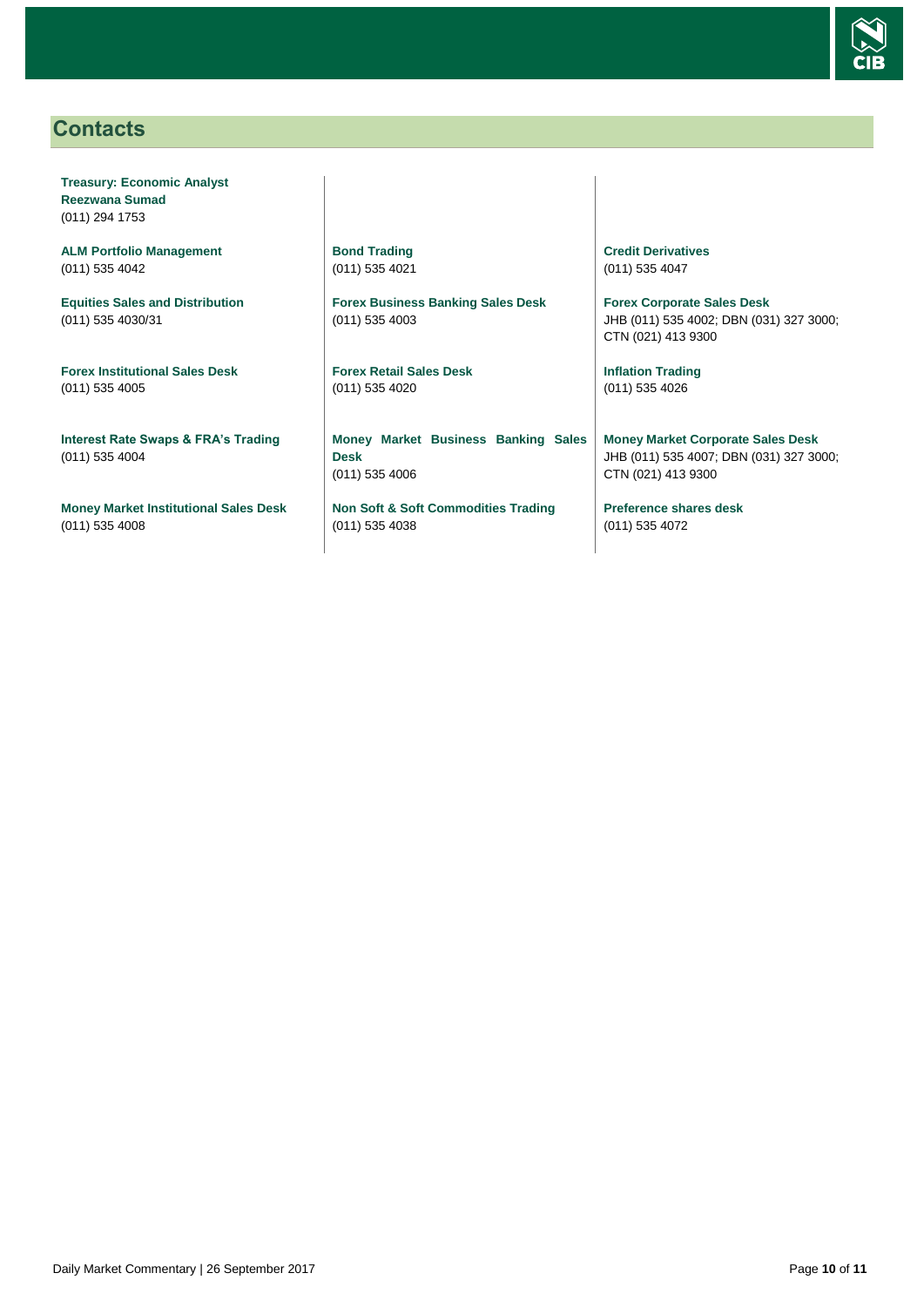

## <span id="page-9-0"></span>**Contacts**

**Treasury: Economic Analyst Reezwana Sumad** (011) 294 1753

**ALM Portfolio Management** (011) 535 4042

**Equities Sales and Distribution** (011) 535 4030/31

**Forex Institutional Sales Desk** (011) 535 4005

**Interest Rate Swaps & FRA's Trading** (011) 535 4004

**Money Market Institutional Sales Desk** (011) 535 4008

**Bond Trading** (011) 535 4021

**Forex Business Banking Sales Desk** (011) 535 4003

**Forex Retail Sales Desk** (011) 535 4020

**Money Market Business Banking Sales Desk** (011) 535 4006

**Non Soft & Soft Commodities Trading** (011) 535 4038

**Credit Derivatives**  (011) 535 4047

**Forex Corporate Sales Desk** JHB (011) 535 4002; DBN (031) 327 3000; CTN (021) 413 9300

**Inflation Trading** (011) 535 4026

**Money Market Corporate Sales Desk** JHB (011) 535 4007; DBN (031) 327 3000; CTN (021) 413 9300

**Preference shares desk** (011) 535 4072